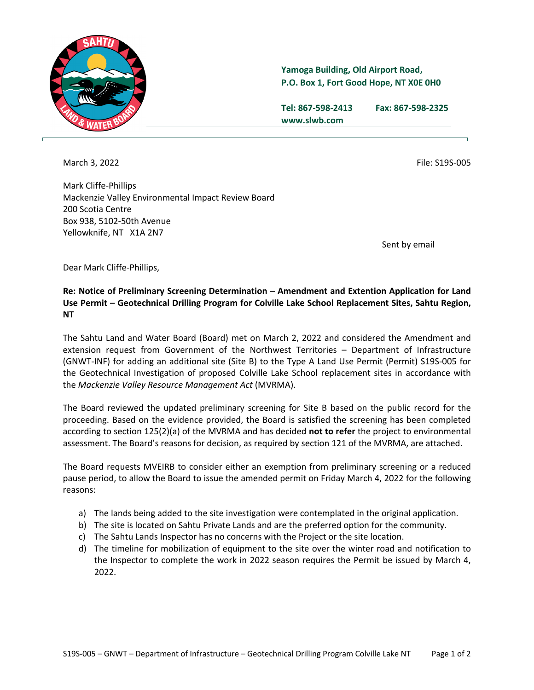

## **Yamoga Building, Old Airport Road, P.O. Box 1, Fort Good Hope, NT X0E 0H0**

**Tel: 867-598-2413 Fax: 867-598-2325 www.slwb.com**

March 3, 2022 **File: S19S-005** 

Mark Cliffe-Phillips Mackenzie Valley Environmental Impact Review Board 200 Scotia Centre Box 938, 5102-50th Avenue Yellowknife, NT X1A 2N7

Sent by email

Dear Mark Cliffe-Phillips,

## **Re: Notice of Preliminary Screening Determination – Amendment and Extention Application for Land Use Permit – Geotechnical Drilling Program for Colville Lake School Replacement Sites, Sahtu Region, NT**

The Sahtu Land and Water Board (Board) met on March 2, 2022 and considered the Amendment and extension request from Government of the Northwest Territories – Department of Infrastructure (GNWT-INF) for adding an additional site (Site B) to the Type A Land Use Permit (Permit) S19S-005 for the Geotechnical Investigation of proposed Colville Lake School replacement sites in accordance with the *Mackenzie Valley Resource Management Act* (MVRMA).

The Board reviewed the updated preliminary screening for Site B based on the public record for the proceeding. Based on the evidence provided, the Board is satisfied the screening has been completed according to section 125(2)(a) of the MVRMA and has decided **not to refer** the project to environmental assessment. The Board's reasons for decision, as required by section 121 of the MVRMA, are attached.

The Board requests MVEIRB to consider either an exemption from preliminary screening or a reduced pause period, to allow the Board to issue the amended permit on Friday March 4, 2022 for the following reasons:

- a) The lands being added to the site investigation were contemplated in the original application.
- b) The site is located on Sahtu Private Lands and are the preferred option for the community.
- c) The Sahtu Lands Inspector has no concerns with the Project or the site location.
- d) The timeline for mobilization of equipment to the site over the winter road and notification to the Inspector to complete the work in 2022 season requires the Permit be issued by March 4, 2022.